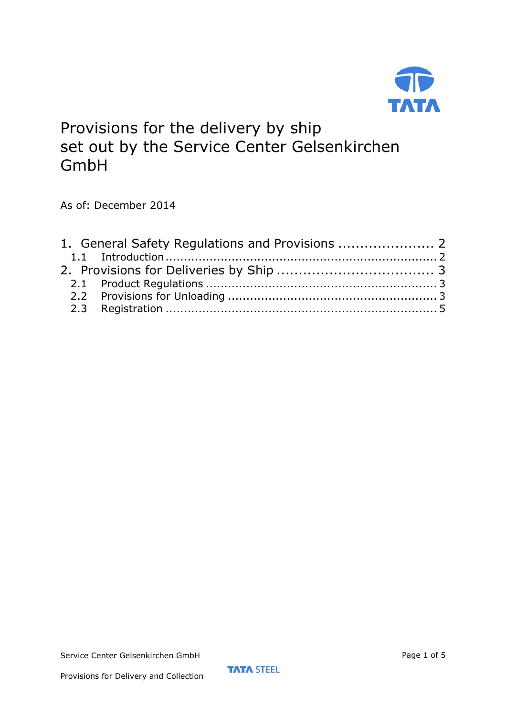

# Provisions for the delivery by ship set out by the Service Center Gelsenkirchen GmbH

As of: December 2014

Provisions for Delivery and Collection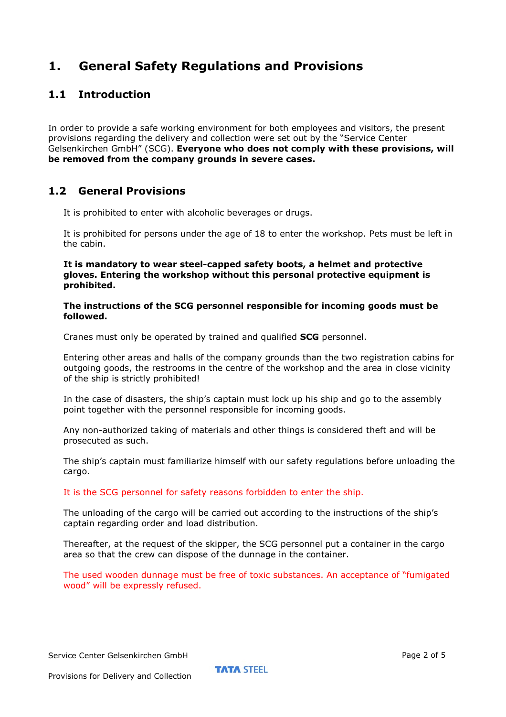## **1. General Safety Regulations and Provisions**

### **1.1 Introduction**

In order to provide a safe working environment for both employees and visitors, the present provisions regarding the delivery and collection were set out by the "Service Center Gelsenkirchen GmbH" (SCG). **Everyone who does not comply with these provisions, will be removed from the company grounds in severe cases.**

#### **1.2 General Provisions**

It is prohibited to enter with alcoholic beverages or drugs.

It is prohibited for persons under the age of 18 to enter the workshop. Pets must be left in the cabin.

**It is mandatory to wear steel-capped safety boots, a helmet and protective gloves. Entering the workshop without this personal protective equipment is prohibited.** 

**The instructions of the SCG personnel responsible for incoming goods must be followed.** 

Cranes must only be operated by trained and qualified **SCG** personnel.

Entering other areas and halls of the company grounds than the two registration cabins for outgoing goods, the restrooms in the centre of the workshop and the area in close vicinity of the ship is strictly prohibited!

In the case of disasters, the ship's captain must lock up his ship and go to the assembly point together with the personnel responsible for incoming goods.

Any non-authorized taking of materials and other things is considered theft and will be prosecuted as such.

The ship's captain must familiarize himself with our safety regulations before unloading the cargo.

#### It is the SCG personnel for safety reasons forbidden to enter the ship.

The unloading of the cargo will be carried out according to the instructions of the ship's captain regarding order and load distribution.

Thereafter, at the request of the skipper, the SCG personnel put a container in the cargo area so that the crew can dispose of the dunnage in the container.

The used wooden dunnage must be free of toxic substances. An acceptance of "fumigated wood" will be expressly refused.

Service Center Gelsenkirchen GmbH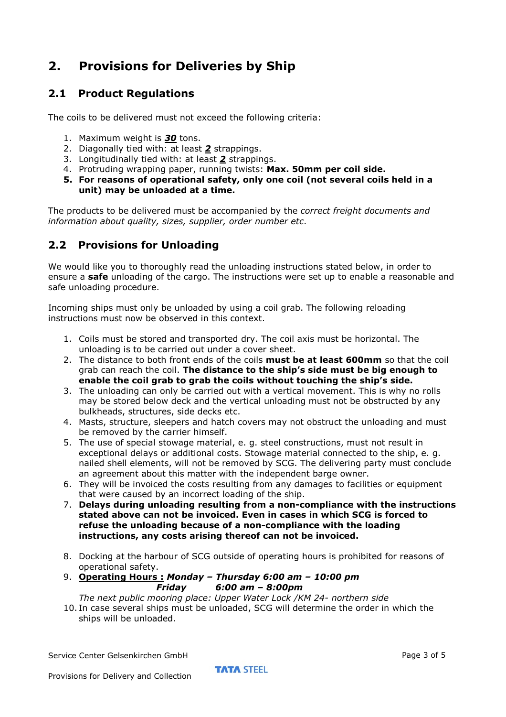# **2. Provisions for Deliveries by Ship**

#### **2.1 Product Regulations**

The coils to be delivered must not exceed the following criteria:

- 1. Maximum weight is *30* tons.
- 2. Diagonally tied with: at least *2* strappings.
- 3. Longitudinally tied with: at least *2* strappings.
- 4. Protruding wrapping paper, running twists: **Max. 50mm per coil side.**
- **5. For reasons of operational safety, only one coil (not several coils held in a unit) may be unloaded at a time.**

The products to be delivered must be accompanied by the *correct freight documents and information about quality, sizes, supplier, order number etc*.

#### **2.2 Provisions for Unloading**

We would like you to thoroughly read the unloading instructions stated below, in order to ensure a **safe** unloading of the cargo. The instructions were set up to enable a reasonable and safe unloading procedure.

Incoming ships must only be unloaded by using a coil grab. The following reloading instructions must now be observed in this context.

- 1. Coils must be stored and transported dry. The coil axis must be horizontal. The unloading is to be carried out under a cover sheet.
- 2. The distance to both front ends of the coils **must be at least 600mm** so that the coil grab can reach the coil. **The distance to the ship's side must be big enough to enable the coil grab to grab the coils without touching the ship's side.**
- 3. The unloading can only be carried out with a vertical movement. This is why no rolls may be stored below deck and the vertical unloading must not be obstructed by any bulkheads, structures, side decks etc.
- 4. Masts, structure, sleepers and hatch covers may not obstruct the unloading and must be removed by the carrier himself.
- 5. The use of special stowage material, e. g. steel constructions, must not result in exceptional delays or additional costs. Stowage material connected to the ship, e. g. nailed shell elements, will not be removed by SCG. The delivering party must conclude an agreement about this matter with the independent barge owner.
- 6. They will be invoiced the costs resulting from any damages to facilities or equipment that were caused by an incorrect loading of the ship.
- 7. **Delays during unloading resulting from a non-compliance with the instructions stated above can not be invoiced. Even in cases in which SCG is forced to refuse the unloading because of a non-compliance with the loading instructions, any costs arising thereof can not be invoiced.**
- 8. Docking at the harbour of SCG outside of operating hours is prohibited for reasons of operational safety.
- 9. **Operating Hours :** *Monday Thursday 6:00 am 10:00 pm Friday 6:00 am – 8:00pm*

*The next public mooring place: Upper Water Lock /KM 24- northern side*

10. In case several ships must be unloaded, SCG will determine the order in which the ships will be unloaded.

Service Center Gelsenkirchen GmbH

**TATA STEEL**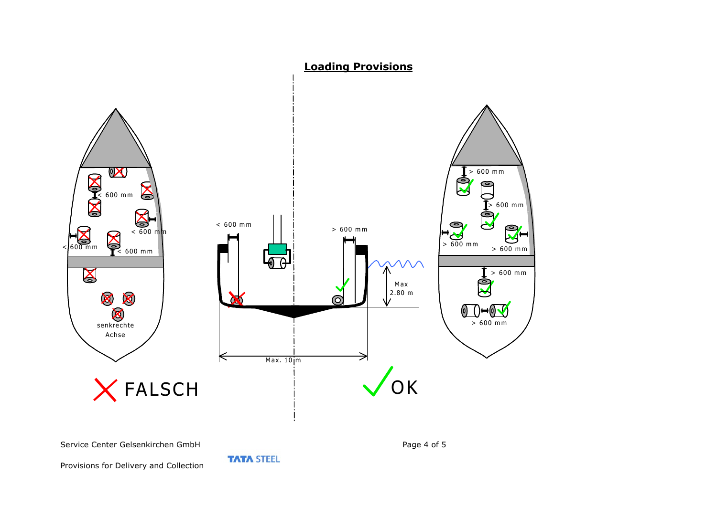

Provisions for Delivery and Collection

**TATA STEEL** 

Page 4 of 5